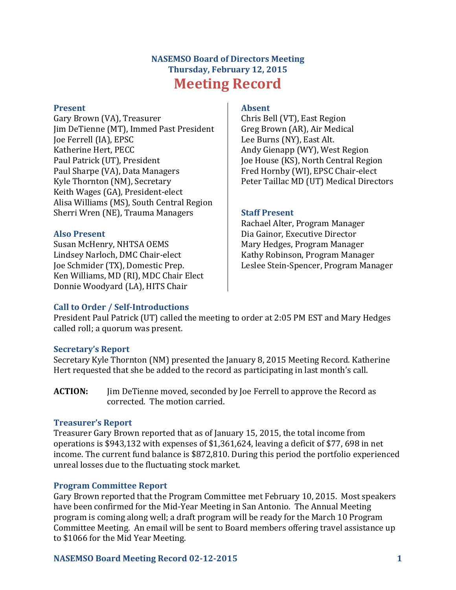# **NASEMSO Board of Directors Meeting Thursday, February 12, 2015 Meeting Record**

#### **Present**

Gary Brown (VA), Treasurer Jim DeTienne (MT), Immed Past President Joe Ferrell (IA), EPSC Katherine Hert, PECC Paul Patrick (UT), President Paul Sharpe (VA), Data Managers Kyle Thornton (NM), Secretary Keith Wages (GA), President-elect Alisa Williams (MS), South Central Region Sherri Wren (NE), Trauma Managers

### **Also Present**

Susan McHenry, NHTSA OEMS Lindsey Narloch, DMC Chair-elect Joe Schmider (TX), Domestic Prep. Ken Williams, MD (RI), MDC Chair Elect Donnie Woodyard (LA), HITS Chair

### **Absent**

Chris Bell (VT), East Region Greg Brown (AR), Air Medical Lee Burns (NY), East Alt. Andy Gienapp (WY), West Region Joe House (KS), North Central Region Fred Hornby (WI), EPSC Chair-elect Peter Taillac MD (UT) Medical Directors

### **Staff Present**

Rachael Alter, Program Manager Dia Gainor, Executive Director Mary Hedges, Program Manager Kathy Robinson, Program Manager Leslee Stein-Spencer, Program Manager

# **Call to Order / Self-Introductions**

President Paul Patrick (UT) called the meeting to order at 2:05 PM EST and Mary Hedges called roll; a quorum was present.

# **Secretary's Report**

Secretary Kyle Thornton (NM) presented the January 8, 2015 Meeting Record. Katherine Hert requested that she be added to the record as participating in last month's call.

**ACTION:** Jim DeTienne moved, seconded by Joe Ferrell to approve the Record as corrected. The motion carried.

### **Treasurer's Report**

Treasurer Gary Brown reported that as of January 15, 2015, the total income from operations is \$943,132 with expenses of \$1,361,624, leaving a deficit of \$77, 698 in net income. The current fund balance is \$872,810. During this period the portfolio experienced unreal losses due to the fluctuating stock market.

# **Program Committee Report**

Gary Brown reported that the Program Committee met February 10, 2015. Most speakers have been confirmed for the Mid-Year Meeting in San Antonio. The Annual Meeting program is coming along well; a draft program will be ready for the March 10 Program Committee Meeting. An email will be sent to Board members offering travel assistance up to \$1066 for the Mid Year Meeting.

### **NASEMSO Board Meeting Record 02-12-2015 1**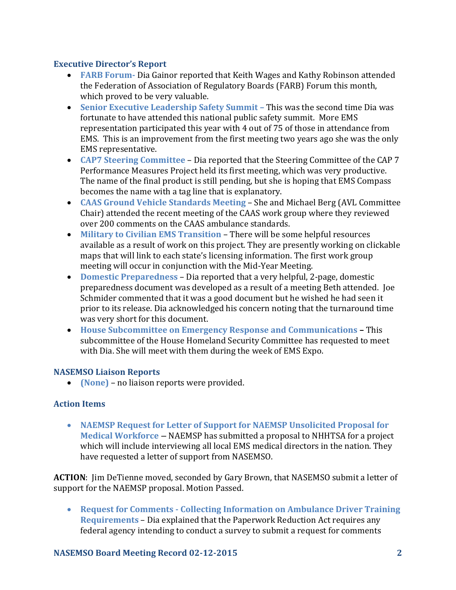# **Executive Director's Report**

- **FARB Forum-** Dia Gainor reported that Keith Wages and Kathy Robinson attended the Federation of Association of Regulatory Boards (FARB) Forum this month, which proved to be very valuable.
- **Senior Executive Leadership Safety Summit –** This was the second time Dia was fortunate to have attended this national public safety summit. More EMS representation participated this year with 4 out of 75 of those in attendance from EMS. This is an improvement from the first meeting two years ago she was the only EMS representative.
- **CAP7 Steering Committee** Dia reported that the Steering Committee of the CAP 7 Performance Measures Project held its first meeting, which was very productive. The name of the final product is still pending, but she is hoping that EMS Compass becomes the name with a tag line that is explanatory.
- **CAAS Ground Vehicle Standards Meeting**  She and Michael Berg (AVL Committee Chair) attended the recent meeting of the CAAS work group where they reviewed over 200 comments on the CAAS ambulance standards.
- **Military to Civilian EMS Transition**  There will be some helpful resources available as a result of work on this project. They are presently working on clickable maps that will link to each state's licensing information. The first work group meeting will occur in conjunction with the Mid-Year Meeting.
- **Domestic Preparedness**  Dia reported that a very helpful, 2-page, domestic preparedness document was developed as a result of a meeting Beth attended. Joe Schmider commented that it was a good document but he wished he had seen it prior to its release. Dia acknowledged his concern noting that the turnaround time was very short for this document.
- **House Subcommittee on Emergency Response and Communications –** This subcommittee of the House Homeland Security Committee has requested to meet with Dia. She will meet with them during the week of EMS Expo.

# **NASEMSO Liaison Reports**

**(None)** – no liaison reports were provided.

# **Action Items**

 **NAEMSP Request for Letter of Support for NAEMSP Unsolicited Proposal for Medical Workforce** – NAEMSP has submitted a proposal to NHHTSA for a project which will include interviewing all local EMS medical directors in the nation. They have requested a letter of support from NASEMSO.

**ACTION**: Jim DeTienne moved, seconded by Gary Brown, that NASEMSO submit a letter of support for the NAEMSP proposal. Motion Passed.

 **Request for Comments - Collecting Information on Ambulance Driver Training Requirements** – Dia explained that the Paperwork Reduction Act requires any federal agency intending to conduct a survey to submit a request for comments

# **NASEMSO Board Meeting Record 02-12-2015 2**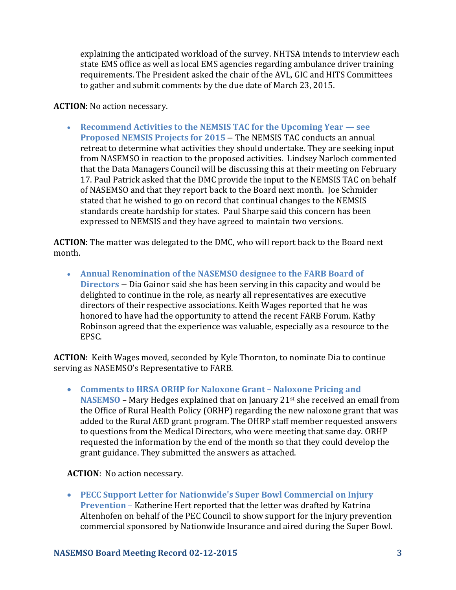explaining the anticipated workload of the survey. NHTSA intends to interview each state EMS office as well as local EMS agencies regarding ambulance driver training requirements. The President asked the chair of the AVL, GIC and HITS Committees to gather and submit comments by the due date of March 23, 2015.

### **ACTION**: No action necessary.

 **Recommend Activities to the NEMSIS TAC for the Upcoming Year — see Proposed NEMSIS Projects for 2015** – The NEMSIS TAC conducts an annual retreat to determine what activities they should undertake. They are seeking input from NASEMSO in reaction to the proposed activities. Lindsey Narloch commented that the Data Managers Council will be discussing this at their meeting on February 17. Paul Patrick asked that the DMC provide the input to the NEMSIS TAC on behalf of NASEMSO and that they report back to the Board next month. Joe Schmider stated that he wished to go on record that continual changes to the NEMSIS standards create hardship for states. Paul Sharpe said this concern has been expressed to NEMSIS and they have agreed to maintain two versions.

**ACTION**: The matter was delegated to the DMC, who will report back to the Board next month.

 **Annual Renomination of the NASEMSO designee to the FARB Board of Directors** – Dia Gainor said she has been serving in this capacity and would be delighted to continue in the role, as nearly all representatives are executive directors of their respective associations. Keith Wages reported that he was honored to have had the opportunity to attend the recent FARB Forum. Kathy Robinson agreed that the experience was valuable, especially as a resource to the EPSC.

**ACTION**: Keith Wages moved, seconded by Kyle Thornton, to nominate Dia to continue serving as NASEMSO's Representative to FARB.

 **Comments to HRSA ORHP for Naloxone Grant – Naloxone Pricing and NASEMSO** – Mary Hedges explained that on January 21st she received an email from the Office of Rural Health Policy (ORHP) regarding the new naloxone grant that was added to the Rural AED grant program. The OHRP staff member requested answers to questions from the Medical Directors, who were meeting that same day. ORHP requested the information by the end of the month so that they could develop the grant guidance. They submitted the answers as attached.

**ACTION**: No action necessary.

 **PECC Support Letter for Nationwide's Super Bowl Commercial on Injury Prevention** – Katherine Hert reported that the letter was drafted by Katrina Altenhofen on behalf of the PEC Council to show support for the injury prevention commercial sponsored by Nationwide Insurance and aired during the Super Bowl.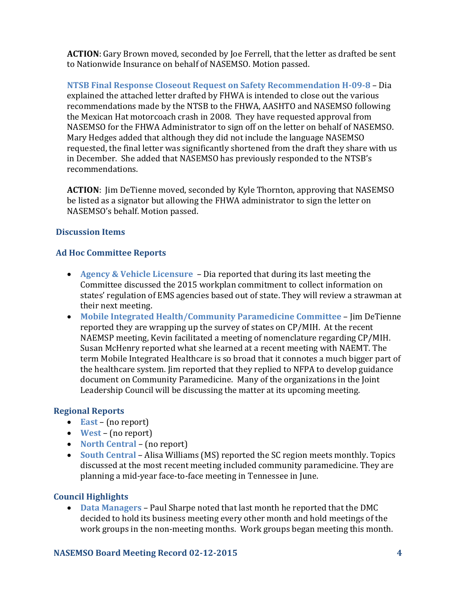**ACTION**: Gary Brown moved, seconded by Joe Ferrell, that the letter as drafted be sent to Nationwide Insurance on behalf of NASEMSO. Motion passed.

**NTSB Final Response Closeout Request on Safety Recommendation H-09-8** – Dia explained the attached letter drafted by FHWA is intended to close out the various recommendations made by the NTSB to the FHWA, AASHTO and NASEMSO following the Mexican Hat motorcoach crash in 2008. They have requested approval from NASEMSO for the FHWA Administrator to sign off on the letter on behalf of NASEMSO. Mary Hedges added that although they did not include the language NASEMSO requested, the final letter was significantly shortened from the draft they share with us in December. She added that NASEMSO has previously responded to the NTSB's recommendations.

**ACTION**: Jim DeTienne moved, seconded by Kyle Thornton, approving that NASEMSO be listed as a signator but allowing the FHWA administrator to sign the letter on NASEMSO's behalf. Motion passed.

# **Discussion Items**

# **Ad Hoc Committee Reports**

- **Agency & Vehicle Licensure**  Dia reported that during its last meeting the Committee discussed the 2015 workplan commitment to collect information on states' regulation of EMS agencies based out of state. They will review a strawman at their next meeting.
- **Mobile Integrated Health/Community Paramedicine Committee** Jim DeTienne reported they are wrapping up the survey of states on CP/MIH. At the recent NAEMSP meeting, Kevin facilitated a meeting of nomenclature regarding CP/MIH. Susan McHenry reported what she learned at a recent meeting with NAEMT. The term Mobile Integrated Healthcare is so broad that it connotes a much bigger part of the healthcare system. Jim reported that they replied to NFPA to develop guidance document on Community Paramedicine. Many of the organizations in the Joint Leadership Council will be discussing the matter at its upcoming meeting.

# **Regional Reports**

- **East** (no report)
- **West** (no report)
- **North Central** (no report)
- **South Central** Alisa Williams (MS) reported the SC region meets monthly. Topics discussed at the most recent meeting included community paramedicine. They are planning a mid-year face-to-face meeting in Tennessee in June.

# **Council Highlights**

 **Data Managers** – Paul Sharpe noted that last month he reported that the DMC decided to hold its business meeting every other month and hold meetings of the work groups in the non-meeting months. Work groups began meeting this month.

# **NASEMSO Board Meeting Record 02-12-2015 4**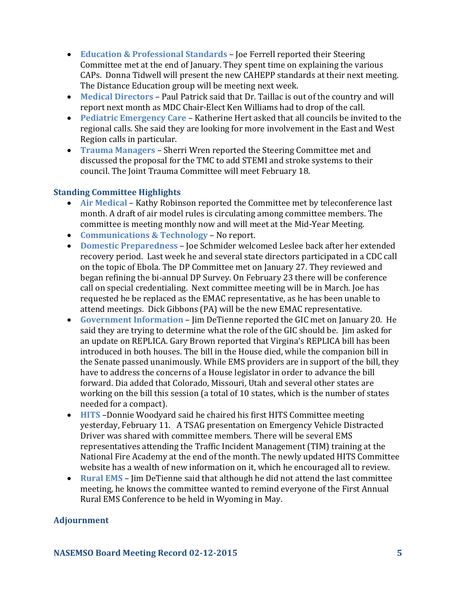- **Education & Professional Standards** Joe Ferrell reported their Steering Committee met at the end of January. They spent time on explaining the various CAPs. Donna Tidwell will present the new CAHEPP standards at their next meeting. The Distance Education group will be meeting next week.
- **Medical Directors** Paul Patrick said that Dr. Taillac is out of the country and will report next month as MDC Chair-Elect Ken Williams had to drop of the call.
- **Pediatric Emergency Care** Katherine Hert asked that all councils be invited to the regional calls. She said they are looking for more involvement in the East and West Region calls in particular.
- **Trauma Managers** Sherri Wren reported the Steering Committee met and discussed the proposal for the TMC to add STEMI and stroke systems to their council. The Joint Trauma Committee will meet February 18.

# **Standing Committee Highlights**

- **Air Medical** Kathy Robinson reported the Committee met by teleconference last month. A draft of air model rules is circulating among committee members. The committee is meeting monthly now and will meet at the Mid-Year Meeting.
- **Communications & Technology** No report.
- **Domestic Preparedness** Joe Schmider welcomed Leslee back after her extended recovery period. Last week he and several state directors participated in a CDC call on the topic of Ebola. The DP Committee met on January 27. They reviewed and began refining the bi-annual DP Survey. On February 23 there will be conference call on special credentialing. Next committee meeting will be in March. Joe has requested he be replaced as the EMAC representative, as he has been unable to attend meetings. Dick Gibbons (PA) will be the new EMAC representative.
- **Government Information**  Jim DeTienne reported the GIC met on January 20. He said they are trying to determine what the role of the GIC should be. Jim asked for an update on REPLICA. Gary Brown reported that Virgina's REPLICA bill has been introduced in both houses. The bill in the House died, while the companion bill in the Senate passed unanimously. While EMS providers are in support of the bill, they have to address the concerns of a House legislator in order to advance the bill forward. Dia added that Colorado, Missouri, Utah and several other states are working on the bill this session (a total of 10 states, which is the number of states needed for a compact).
- **HITS** –Donnie Woodyard said he chaired his first HITS Committee meeting yesterday, February 11. A TSAG presentation on Emergency Vehicle Distracted Driver was shared with committee members. There will be several EMS representatives attending the Traffic Incident Management (TIM) training at the National Fire Academy at the end of the month. The newly updated HITS Committee website has a wealth of new information on it, which he encouraged all to review.
- **Rural EMS**  Jim DeTienne said that although he did not attend the last committee meeting, he knows the committee wanted to remind everyone of the First Annual Rural EMS Conference to be held in Wyoming in May.

# **Adjournment**